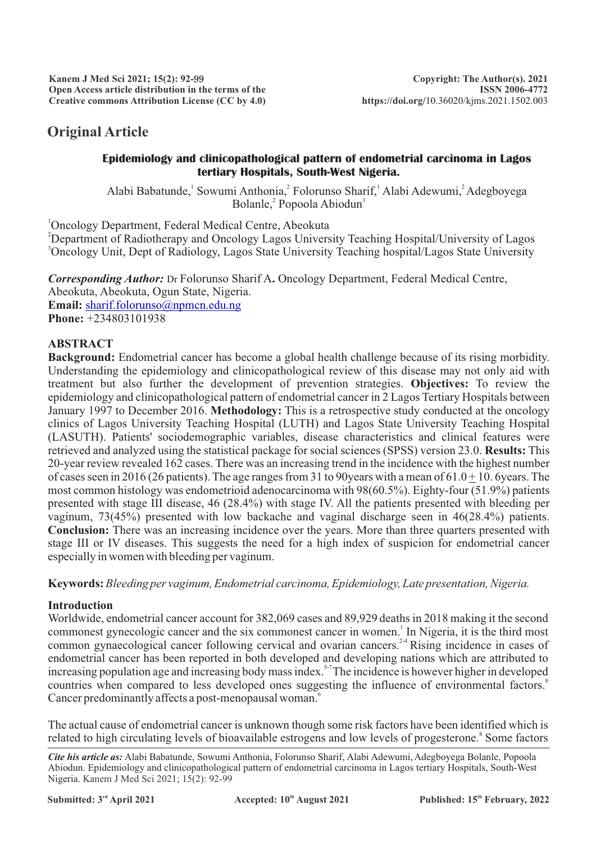# **Original Article**

#### **Epidemiology and clinicopathological pattern of endometrial carcinoma in Lagos tertiary Hospitals, South-West Nigeria.**

Alabi Babatunde, Sowumi Anthonia, Folorunso Sharif, Alabi Adewumi, Adegboyega Bolanle,<sup>2</sup> Popoola Abiodun<sup>3</sup>

<sup>1</sup>Oncology Department, Federal Medical Centre, Abeokuta <sup>2</sup>Department of Radiotherapy and Oncology Lagos University Teaching Hospital/University of Lagos <sup>3</sup>Oncology Unit, Dept of Radiology, Lagos State University Teaching hospital/Lagos State University

*Corresponding Author:* Dr Folorunso Sharif A**.** Oncology Department, Federal Medical Centre, Abeokuta, Abeokuta, Ogun State, Nigeria. **Email:** [sharif.folorunso@npmcn.edu.ng](http://sharif.folorunso@npmcn.edu.ng) **Phone:** +234803101938

## **ABSTRACT**

**Background:** Endometrial cancer has become a global health challenge because of its rising morbidity. Understanding the epidemiology and clinicopathological review of this disease may not only aid with treatment but also further the development of prevention strategies. **Objectives:** To review the epidemiology and clinicopathological pattern of endometrial cancer in 2 Lagos Tertiary Hospitals between January 1997 to December 2016. **Methodology:** This is a retrospective study conducted at the oncology clinics of Lagos University Teaching Hospital (LUTH) and Lagos State University Teaching Hospital (LASUTH). Patients' sociodemographic variables, disease characteristics and clinical features were retrieved and analyzed using the statistical package for social sciences (SPSS) version 23.0. **Results:** This 20-year review revealed 162 cases. There was an increasing trend in the incidence with the highest number of cases seen in 2016 (26 patients). The age ranges from 31 to 90 years with a mean of  $61.0 + 10.$  6 years. The most common histology was endometrioid adenocarcinoma with 98(60.5%). Eighty-four (51.9%) patients presented with stage III disease, 46 (28.4%) with stage IV. All the patients presented with bleeding per vaginum, 73(45%) presented with low backache and vaginal discharge seen in 46(28.4%) patients. **Conclusion:** There was an increasing incidence over the years. More than three quarters presented with stage III or IV diseases. This suggests the need for a high index of suspicion for endometrial cancer especially in women with bleeding per vaginum.

**Keywords:** *Bleeding per vaginum, Endometrial carcinoma, Epidemiology, Late presentation, Nigeria.*

### **Introduction**

Worldwide, endometrial cancer account for 382,069 cases and 89,929 deaths in 2018 making it the second commonest gynecologic cancer and the six commonest cancer in women.<sup>1</sup> In Nigeria, it is the third most common gynaecological cancer following cervical and ovarian cancers.<sup>24</sup> Rising incidence in cases of endometrial cancer has been reported in both developed and developing nations which are attributed to increasing population age and increasing body mass index.<sup>5-7</sup> The incidence is however higher in developed countries when compared to less developed ones suggesting the influence of environmental factors.<sup>8</sup> Cancer predominantly affects a post-menopausal woman.

The actual cause of endometrial cancer is unknown though some risk factors have been identified which is related to high circulating levels of bioavailable estrogens and low levels of progesterone.<sup>8</sup> Some factors

*Cite his article as:* Alabi Babatunde, Sowumi Anthonia, Folorunso Sharif, Alabi Adewumi,Adegboyega Bolanle, Popoola Abiodun. Epidemiology and clinicopathological pattern of endometrial carcinoma in Lagos tertiary Hospitals, South-West Nigeria. Kanem J Med Sci 2021; 15(2): 92-99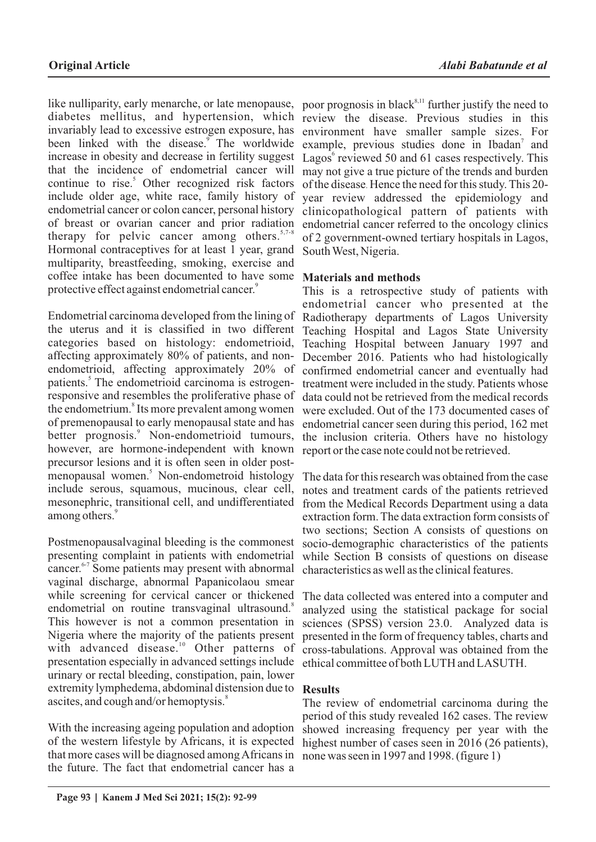like nulliparity, early menarche, or late menopause, diabetes mellitus, and hypertension, which review the disease. Previous studies in this invariably lead to excessive estrogen exposure, has been linked with the disease.<sup>9</sup> The worldwide increase in obesity and decrease in fertility suggest that the incidence of endometrial cancer will continue to rise.<sup>5</sup> Other recognized risk factors include older age, white race, family history of endometrial cancer or colon cancer, personal history of breast or ovarian cancer and prior radiation therapy for pelvic cancer among others.<sup>5,7-8</sup> Hormonal contraceptives for at least 1 year, grand multiparity, breastfeeding, smoking, exercise and coffee intake has been documented to have some **Materials and methods** protective effect against endometrial cancer.<sup>9</sup>

Endometrial carcinoma developed from the lining of the uterus and it is classified in two different categories based on histology: endometrioid, affecting approximately 80% of patients, and nonendometrioid, affecting approximately 20% of patients.<sup>5</sup> The endometrioid carcinoma is estrogenresponsive and resembles the proliferative phase of the endometrium.<sup>8</sup> Its more prevalent among women of premenopausal to early menopausal state and has better prognosis.<sup>9</sup> Non-endometrioid tumours, however, are hormone-independent with known precursor lesions and it is often seen in older postmenopausal women.<sup>5</sup> Non-endometroid histology include serous, squamous, mucinous, clear cell, mesonephric, transitional cell, and undifferentiated among others.<sup>9</sup>

Postmenopausalvaginal bleeding is the commonest presenting complaint in patients with endometrial cancer.<sup>6-7</sup> Some patients may present with abnormal vaginal discharge, abnormal Papanicolaou smear while screening for cervical cancer or thickened endometrial on routine transvaginal ultrasound.<sup>8</sup> This however is not a common presentation in Nigeria where the majority of the patients present with advanced disease.<sup>10</sup> Other patterns of presentation especially in advanced settings include urinary or rectal bleeding, constipation, pain, lower extremity lymphedema, abdominal distension due to **Results** ascites, and cough and/or hemoptysis.<sup>8</sup>

With the increasing ageing population and adoption of the western lifestyle by Africans, it is expected that more cases will be diagnosed among Africans in the future. The fact that endometrial cancer has a

poor prognosis in black<sup>8,11</sup> further justify the need to environment have smaller sample sizes. For example, previous studies done in Ibadan<sup>7</sup> and Lagos<sup>6</sup> reviewed 50 and 61 cases respectively. This may not give a true picture of the trends and burden of the disease. Hence the need for this study. This 20 year review addressed the epidemiology and clinicopathological pattern of patients with endometrial cancer referred to the oncology clinics of 2 government-owned tertiary hospitals in Lagos, South West, Nigeria.

This is a retrospective study of patients with endometrial cancer who presented at the Radiotherapy departments of Lagos University Teaching Hospital and Lagos State University Teaching Hospital between January 1997 and December 2016. Patients who had histologically confirmed endometrial cancer and eventually had treatment were included in the study. Patients whose data could not be retrieved from the medical records were excluded. Out of the 173 documented cases of endometrial cancer seen during this period, 162 met the inclusion criteria. Others have no histology report or the case note could not be retrieved.

The data for this research was obtained from the case notes and treatment cards of the patients retrieved from the Medical Records Department using a data extraction form. The data extraction form consists of two sections; Section A consists of questions on socio-demographic characteristics of the patients while Section B consists of questions on disease characteristics as well as the clinical features.

The data collected was entered into a computer and analyzed using the statistical package for social sciences (SPSS) version 23.0. Analyzed data is presented in the form of frequency tables, charts and cross-tabulations. Approval was obtained from the ethical committee of both LUTH and LASUTH.

The review of endometrial carcinoma during the period of this study revealed 162 cases. The review showed increasing frequency per year with the highest number of cases seen in 2016 (26 patients), none was seen in 1997 and 1998. (figure 1)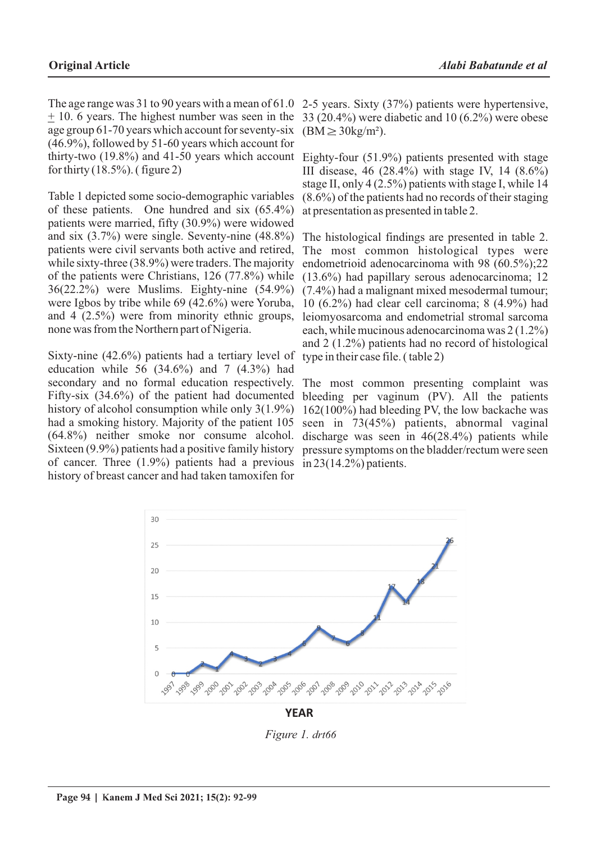The age range was 31 to 90 years with a mean of 61.0 + 10. 6 years. The highest number was seen in the age group 61-70 years which account for seventy-six (46.9%), followed by 51-60 years which account for thirty-two (19.8%) and 41-50 years which account for thirty  $(18.5\%)$ . (figure 2)

Table 1 depicted some socio-demographic variables of these patients. One hundred and six (65.4%) patients were married, fifty (30.9%) were widowed and six (3.7%) were single. Seventy-nine (48.8%) patients were civil servants both active and retired, while sixty-three (38.9%) were traders. The majority of the patients were Christians, 126 (77.8%) while 36(22.2%) were Muslims. Eighty-nine (54.9%) were Igbos by tribe while 69 (42.6%) were Yoruba, and 4 (2.5%) were from minority ethnic groups, none was from the Northern part of Nigeria.

Sixty-nine (42.6%) patients had a tertiary level of education while 56 (34.6%) and 7 (4.3%) had secondary and no formal education respectively. Fifty-six (34.6%) of the patient had documented history of alcohol consumption while only 3(1.9%) had a smoking history. Majority of the patient 105 (64.8%) neither smoke nor consume alcohol. Sixteen (9.9%) patients had a positive family history of cancer. Three (1.9%) patients had a previous in 23(14.2%) patients. history of breast cancer and had taken tamoxifen for

2-5 years. Sixty (37%) patients were hypertensive, 33 (20.4%) were diabetic and 10 (6.2%) were obese  $(BM \geq 30 \text{kg/m}^2)$ .

Eighty-four (51.9%) patients presented with stage III disease, 46 (28.4%) with stage IV, 14 (8.6%) stage II, only 4 (2.5%) patients with stage I, while 14 (8.6%) of the patients had no records of their staging at presentation as presented in table 2.

The histological findings are presented in table 2. The most common histological types were endometrioid adenocarcinoma with 98 (60.5%);22 (13.6%) had papillary serous adenocarcinoma; 12 (7.4%) had a malignant mixed mesodermal tumour; 10 (6.2%) had clear cell carcinoma; 8 (4.9%) had leiomyosarcoma and endometrial stromal sarcoma each, while mucinous adenocarcinoma was 2 (1.2%) and 2 (1.2%) patients had no record of histological type in their case file. ( table 2)

The most common presenting complaint was bleeding per vaginum (PV). All the patients 162(100%) had bleeding PV, the low backache was seen in 73(45%) patients, abnormal vaginal discharge was seen in 46(28.4%) patients while pressure symptoms on the bladder/rectum were seen



*Figure 1. drt66*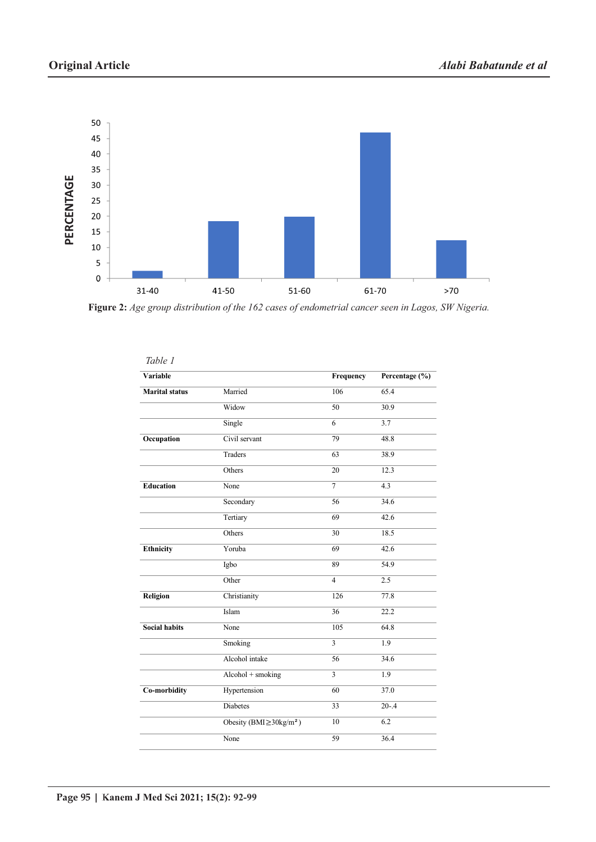

**Figure 2:** *Age group distribution of the 162 cases of endometrial cancer seen in Lagos, SW Nigeria.*

| Variable              |                                         | Frequency      | Percentage (%) |
|-----------------------|-----------------------------------------|----------------|----------------|
| <b>Marital</b> status | Married                                 | 106            | 65.4           |
|                       | Widow                                   | 50             | 30.9           |
|                       | Single                                  | 6              | 3.7            |
| Occupation            | Civil servant                           | 79             | 48.8           |
|                       | Traders                                 | 63             | 38.9           |
|                       | Others                                  | 20             | 12.3           |
| <b>Education</b>      | None                                    | $\overline{7}$ | 4.3            |
|                       | Secondary                               | 56             | 34.6           |
|                       | Tertiary                                | 69             | 42.6           |
|                       | Others                                  | 30             | 18.5           |
| Ethnicity             | Yoruba                                  | 69             | 42.6           |
|                       | Igbo                                    | 89             | 54.9           |
|                       | Other                                   | $\overline{4}$ | 2.5            |
| <b>Religion</b>       | Christianity                            | 126            | 77.8           |
|                       | Islam                                   | 36             | 22.2           |
| <b>Social habits</b>  | None                                    | 105            | 64.8           |
|                       | Smoking                                 | 3              | 1.9            |
|                       | Alcohol intake                          | 56             | 34.6           |
|                       | $Alcohol + smoking$                     | 3              | 1.9            |
| Co-morbidity          | Hypertension                            | 60             | 37.0           |
|                       | <b>Diabetes</b>                         | 33             | $20 - .4$      |
|                       | Obesity ( $BMI \geq 30 \text{kg/m}^2$ ) | 10             | 6.2            |
|                       | None                                    | 59             | 36.4           |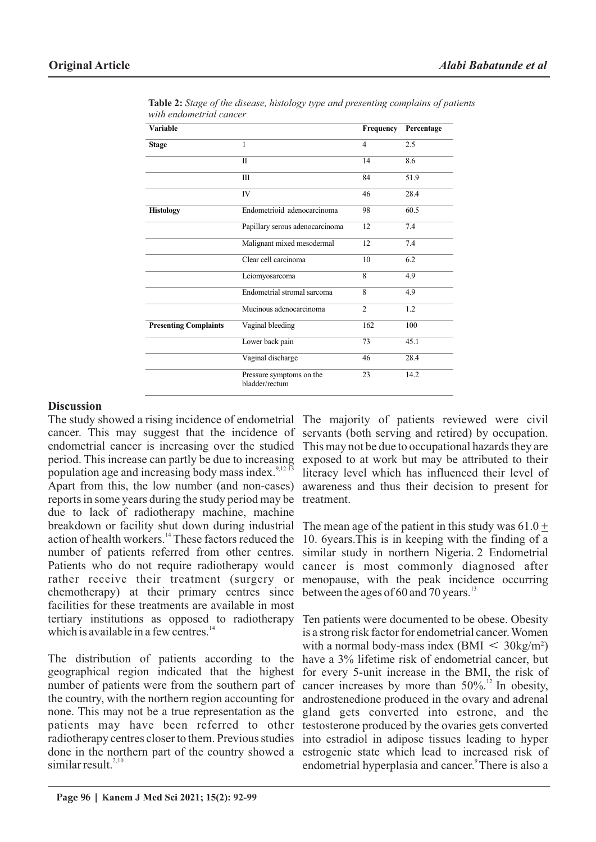| Variable                     |                                            | Frequency        | Percentage |
|------------------------------|--------------------------------------------|------------------|------------|
| <b>Stage</b>                 | 1                                          | $\overline{4}$   | 2.5        |
|                              | $\mathbf{I}$                               | 14               | 8.6        |
|                              | ΠI                                         | 84               | 51.9       |
|                              | IV                                         | 46               | 28.4       |
| <b>Histology</b>             | Endometrioid adenocarcinoma                | 98               | 60.5       |
|                              | Papillary serous adenocarcinoma            | 12               | 7.4        |
|                              | Malignant mixed mesodermal                 | 12               | 7.4        |
|                              | Clear cell carcinoma                       | 10               | 6.2        |
|                              | Leiomyosarcoma                             | 8                | 4.9        |
|                              | Endometrial stromal sarcoma                | $\boldsymbol{8}$ | 4.9        |
|                              | Mucinous adenocarcinoma                    | $\overline{2}$   | 1.2        |
| <b>Presenting Complaints</b> | Vaginal bleeding                           | 162              | 100        |
|                              | Lower back pain                            | 73               | 45.1       |
|                              | Vaginal discharge                          | 46               | 28.4       |
|                              | Pressure symptoms on the<br>bladder/rectum | 23               | 14.2       |

**Table 2:** *Stage of the disease, histology type and presenting complains of patients with endometrial cancer*

### **Discussion**

The study showed a rising incidence of endometrial The majority of patients reviewed were civil cancer. This may suggest that the incidence of endometrial cancer is increasing over the studied period. This increase can partly be due to increasing population age and increasing body mass index.<sup>9,12-13</sup> Apart from this, the low number (and non-cases) reports in some years during the study period may be due to lack of radiotherapy machine, machine breakdown or facility shut down during industrial action of health workers.<sup>14</sup> These factors reduced the number of patients referred from other centres. Patients who do not require radiotherapy would rather receive their treatment (surgery or chemotherapy) at their primary centres since facilities for these treatments are available in most tertiary institutions as opposed to radiotherapy which is available in a few centres. $^{14}$ 

The distribution of patients according to the geographical region indicated that the highest number of patients were from the southern part of the country, with the northern region accounting for none. This may not be a true representation as the patients may have been referred to other radiotherapy centres closer to them. Previous studies done in the northern part of the country showed a  $\sin$  similar result<sup>2,10</sup>

servants (both serving and retired) by occupation. This may not be due to occupational hazards they are exposed to at work but may be attributed to their literacy level which has influenced their level of awareness and thus their decision to present for treatment.

The mean age of the patient in this study was  $61.0 \pm$ 10. 6years.This is in keeping with the finding of a similar study in northern Nigeria. 2 Endometrial cancer is most commonly diagnosed after menopause, with the peak incidence occurring between the ages of 60 and 70 years. $^{13}$ 

Ten patients were documented to be obese. Obesity is a strong risk factor for endometrial cancer. Women with a normal body-mass index (BMI  $\leq 30 \text{kg/m}^2$ ) have a 3% lifetime risk of endometrial cancer, but for every 5-unit increase in the BMI, the risk of cancer increases by more than  $50\%$ .<sup>12</sup> In obesity, androstenedione produced in the ovary and adrenal gland gets converted into estrone, and the testosterone produced by the ovaries gets converted into estradiol in adipose tissues leading to hyper estrogenic state which lead to increased risk of endometrial hyperplasia and cancer.<sup>9</sup> There is also a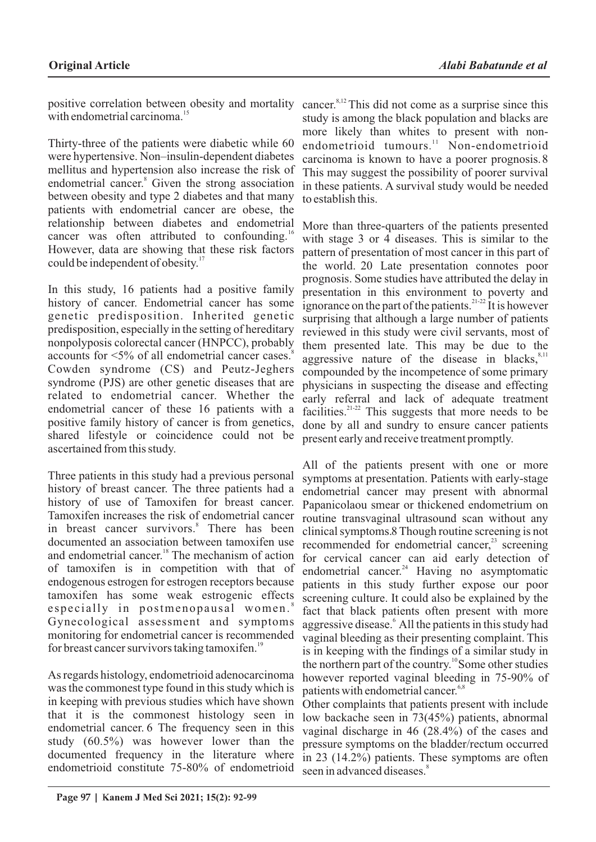positive correlation between obesity and mortality cancer.<sup>8,12</sup> This did not come as a surprise since this with endometrial carcinoma. $^{15}$ 

Thirty-three of the patients were diabetic while 60 were hypertensive. Non–insulin-dependent diabetes mellitus and hypertension also increase the risk of endometrial cancer.<sup>8</sup> Given the strong association between obesity and type 2 diabetes and that many patients with endometrial cancer are obese, the relationship between diabetes and endometrial cancer was often attributed to confounding.<sup>16</sup> However, data are showing that these risk factors could be independent of obesity. $17$ 

In this study, 16 patients had a positive family history of cancer. Endometrial cancer has some genetic predisposition. Inherited genetic predisposition, especially in the setting of hereditary nonpolyposis colorectal cancer (HNPCC), probably accounts for <5% of all endometrial cancer cases.<sup>8</sup> Cowden syndrome (CS) and Peutz-Jeghers syndrome (PJS) are other genetic diseases that are related to endometrial cancer. Whether the endometrial cancer of these 16 patients with a positive family history of cancer is from genetics, shared lifestyle or coincidence could not be ascertained from this study.

Three patients in this study had a previous personal history of breast cancer. The three patients had a history of use of Tamoxifen for breast cancer. Tamoxifen increases the risk of endometrial cancer in breast cancer survivors.<sup>8</sup> There has been documented an association between tamoxifen use and endometrial cancer.<sup>18</sup> The mechanism of action of tamoxifen is in competition with that of endogenous estrogen for estrogen receptors because tamoxifen has some weak estrogenic effects especially in postmenopausal women. Gynecological assessment and symptoms monitoring for endometrial cancer is recommended for breast cancer survivors taking tamoxifen.<sup>19</sup>

As regards histology, endometrioid adenocarcinoma was the commonest type found in this study which is in keeping with previous studies which have shown that it is the commonest histology seen in endometrial cancer. 6 The frequency seen in this study (60.5%) was however lower than the documented frequency in the literature where endometrioid constitute 75-80% of endometrioid

study is among the black population and blacks are more likely than whites to present with nonendometrioid tumours.<sup>11</sup> Non-endometrioid carcinoma is known to have a poorer prognosis.8 This may suggest the possibility of poorer survival in these patients. A survival study would be needed to establish this.

More than three-quarters of the patients presented with stage 3 or 4 diseases. This is similar to the pattern of presentation of most cancer in this part of the world. 20 Late presentation connotes poor prognosis. Some studies have attributed the delay in presentation in this environment to poverty and ignorance on the part of the patients.<sup>21-22</sup> It is however surprising that although a large number of patients reviewed in this study were civil servants, most of them presented late. This may be due to the aggressive nature of the disease in blacks, $8,11$ compounded by the incompetence of some primary physicians in suspecting the disease and effecting early referral and lack of adequate treatment facilities.<sup> $21-22$ </sup> This suggests that more needs to be done by all and sundry to ensure cancer patients present early and receive treatment promptly.

All of the patients present with one or more symptoms at presentation. Patients with early-stage endometrial cancer may present with abnormal Papanicolaou smear or thickened endometrium on routine transvaginal ultrasound scan without any clinical symptoms.8 Though routine screening is not recommended for endometrial cancer, $^{23}$  screening for cervical cancer can aid early detection of endometrial cancer.<sup>24</sup> Having no asymptomatic patients in this study further expose our poor screening culture. It could also be explained by the fact that black patients often present with more aggressive disease. All the patients in this study had vaginal bleeding as their presenting complaint. This is in keeping with the findings of a similar study in the northern part of the country.<sup>10</sup>Some other studies however reported vaginal bleeding in 75-90% of patients with endometrial cancer.<sup>6,8</sup>

Other complaints that patients present with include low backache seen in 73(45%) patients, abnormal vaginal discharge in 46 (28.4%) of the cases and pressure symptoms on the bladder/rectum occurred in 23 (14.2%) patients. These symptoms are often seen in advanced diseases.<sup>8</sup>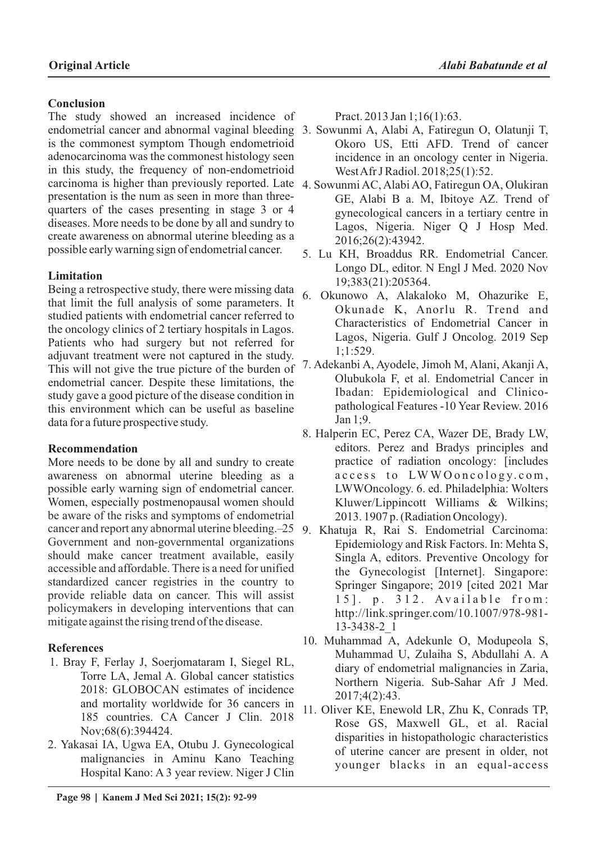## **Conclusion**

The study showed an increased incidence of endometrial cancer and abnormal vaginal bleeding 3. Sowunmi A, Alabi A, Fatiregun O, Olatunji T, is the commonest symptom Though endometrioid adenocarcinoma was the commonest histology seen in this study, the frequency of non-endometrioid carcinoma is higher than previously reported. Late 4. Sowunmi AC, Alabi AO, Fatiregun OA, Olukiran presentation is the num as seen in more than threequarters of the cases presenting in stage 3 or 4 diseases. More needs to be done by all and sundry to create awareness on abnormal uterine bleeding as a possible early warning sign of endometrial cancer.

## **Limitation**

Being a retrospective study, there were missing data that limit the full analysis of some parameters. It studied patients with endometrial cancer referred to the oncology clinics of 2 tertiary hospitals in Lagos. Patients who had surgery but not referred for adjuvant treatment were not captured in the study. This will not give the true picture of the burden of endometrial cancer. Despite these limitations, the study gave a good picture of the disease condition in this environment which can be useful as baseline data for a future prospective study.

## **Recommendation**

More needs to be done by all and sundry to create awareness on abnormal uterine bleeding as a possible early warning sign of endometrial cancer. Women, especially postmenopausal women should be aware of the risks and symptoms of endometrial cancer and report any abnormal uterine bleeding.–25 9. Khatuja R, Rai S. Endometrial Carcinoma: Government and non-governmental organizations should make cancer treatment available, easily accessible and affordable. There is a need for unified standardized cancer registries in the country to provide reliable data on cancer. This will assist policymakers in developing interventions that can mitigate against the rising trend of the disease.

## **References**

- 1. Bray F, Ferlay J, Soerjomataram I, Siegel RL, Torre LA, Jemal A. Global cancer statistics 2018: GLOBOCAN estimates of incidence and mortality worldwide for 36 cancers in 185 countries. CA Cancer J Clin. 2018 Nov;68(6):394424.
- 2. Yakasai IA, Ugwa EA, Otubu J. Gynecological malignancies in Aminu Kano Teaching Hospital Kano: A 3 year review. Niger J Clin

 **Page 98 | Kanem J Med Sci 2021; 15(2): 92-99**

Pract. 2013 Jan 1;16(1):63.

- Okoro US, Etti AFD. Trend of cancer incidence in an oncology center in Nigeria. West Afr J Radiol. 2018;25(1):52.
- GE, Alabi B a. M, Ibitoye AZ. Trend of gynecological cancers in a tertiary centre in Lagos, Nigeria. Niger Q J Hosp Med. 2016;26(2):43942.
- 5. Lu KH, Broaddus RR. Endometrial Cancer. Longo DL, editor. N Engl J Med. 2020 Nov 19;383(21):205364.
- 6. Okunowo A, Alakaloko M, Ohazurike E, Okunade K, Anorlu R. Trend and Characteristics of Endometrial Cancer in Lagos, Nigeria. Gulf J Oncolog. 2019 Sep 1;1:529.
- 7. Adekanbi A, Ayodele, Jimoh M, Alani, Akanji A, Olubukola F, et al. Endometrial Cancer in Ibadan: Epidemiological and Clinicopathological Features -10 Year Review. 2016 Jan 1;9.
- 8. Halperin EC, Perez CA, Wazer DE, Brady LW, editors. Perez and Bradys principles and practice of radiation oncology: [includes access to LWWOoncology.com, LWWOncology. 6. ed. Philadelphia: Wolters Kluwer/Lippincott Williams & Wilkins; 2013. 1907 p. (Radiation Oncology).
- Epidemiology and Risk Factors. In: Mehta S, Singla A, editors. Preventive Oncology for the Gynecologist [Internet]. Singapore: Springer Singapore; 2019 [cited 2021 Mar  $15$ ]. p.  $312$ . Available from: http://link.springer.com/10.1007/978-981- 13-3438-2\_1
- 10. Muhammad A, Adekunle O, Modupeola S, Muhammad U, Zulaiha S, Abdullahi A. A diary of endometrial malignancies in Zaria, Northern Nigeria. Sub-Sahar Afr J Med. 2017;4(2):43.
- 11. Oliver KE, Enewold LR, Zhu K, Conrads TP, Rose GS, Maxwell GL, et al. Racial disparities in histopathologic characteristics of uterine cancer are present in older, not younger blacks in an equal-access